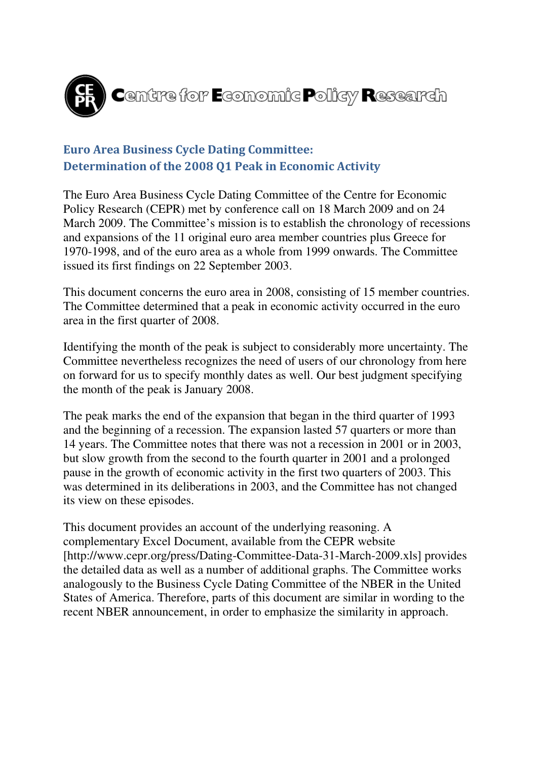

# Euro Area Business Cycle Dating Committee: Determination of the 2008 Q1 Peak in Economic Activity

The Euro Area Business Cycle Dating Committee of the Centre for Economic Policy Research (CEPR) met by conference call on 18 March 2009 and on 24 March 2009. The Committee's mission is to establish the chronology of recessions and expansions of the 11 original euro area member countries plus Greece for 1970-1998, and of the euro area as a whole from 1999 onwards. The Committee issued its first findings on 22 September 2003.

This document concerns the euro area in 2008, consisting of 15 member countries. The Committee determined that a peak in economic activity occurred in the euro area in the first quarter of 2008.

Identifying the month of the peak is subject to considerably more uncertainty. The Committee nevertheless recognizes the need of users of our chronology from here on forward for us to specify monthly dates as well. Our best judgment specifying the month of the peak is January 2008.

The peak marks the end of the expansion that began in the third quarter of 1993 and the beginning of a recession. The expansion lasted 57 quarters or more than 14 years. The Committee notes that there was not a recession in 2001 or in 2003, but slow growth from the second to the fourth quarter in 2001 and a prolonged pause in the growth of economic activity in the first two quarters of 2003. This was determined in its deliberations in 2003, and the Committee has not changed its view on these episodes.

This document provides an account of the underlying reasoning. A complementary Excel Document, available from the CEPR website [http://www.cepr.org/press/Dating-Committee-Data-31-March-2009.xls] provides the detailed data as well as a number of additional graphs. The Committee works analogously to the Business Cycle Dating Committee of the NBER in the United States of America. Therefore, parts of this document are similar in wording to the recent NBER announcement, in order to emphasize the similarity in approach.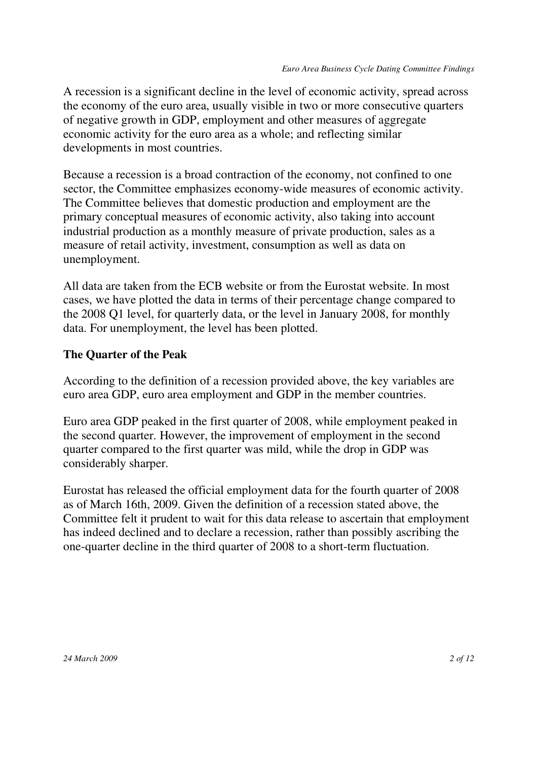A recession is a significant decline in the level of economic activity, spread across the economy of the euro area, usually visible in two or more consecutive quarters of negative growth in GDP, employment and other measures of aggregate economic activity for the euro area as a whole; and reflecting similar developments in most countries.

Because a recession is a broad contraction of the economy, not confined to one sector, the Committee emphasizes economy-wide measures of economic activity. The Committee believes that domestic production and employment are the primary conceptual measures of economic activity, also taking into account industrial production as a monthly measure of private production, sales as a measure of retail activity, investment, consumption as well as data on unemployment.

All data are taken from the ECB website or from the Eurostat website. In most cases, we have plotted the data in terms of their percentage change compared to the 2008 Q1 level, for quarterly data, or the level in January 2008, for monthly data. For unemployment, the level has been plotted.

### **The Quarter of the Peak**

According to the definition of a recession provided above, the key variables are euro area GDP, euro area employment and GDP in the member countries.

Euro area GDP peaked in the first quarter of 2008, while employment peaked in the second quarter. However, the improvement of employment in the second quarter compared to the first quarter was mild, while the drop in GDP was considerably sharper.

Eurostat has released the official employment data for the fourth quarter of 2008 as of March 16th, 2009. Given the definition of a recession stated above, the Committee felt it prudent to wait for this data release to ascertain that employment has indeed declined and to declare a recession, rather than possibly ascribing the one-quarter decline in the third quarter of 2008 to a short-term fluctuation.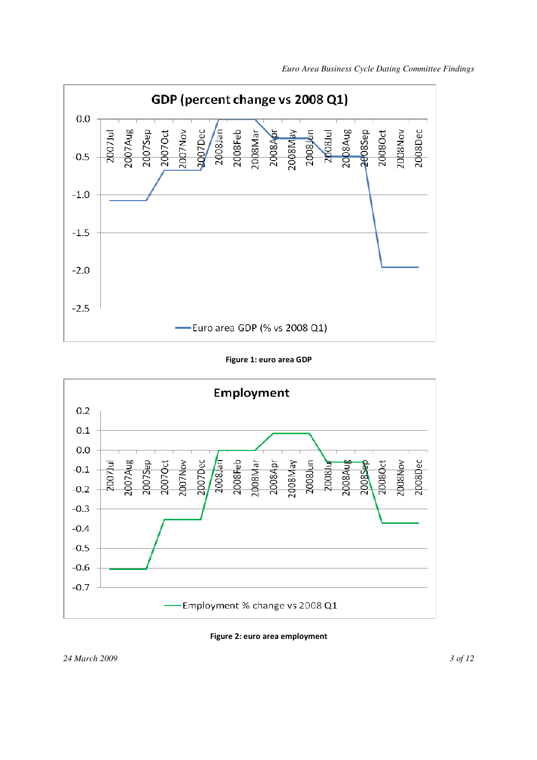

Figure 1: euro area GDP



Figure 2: euro area employment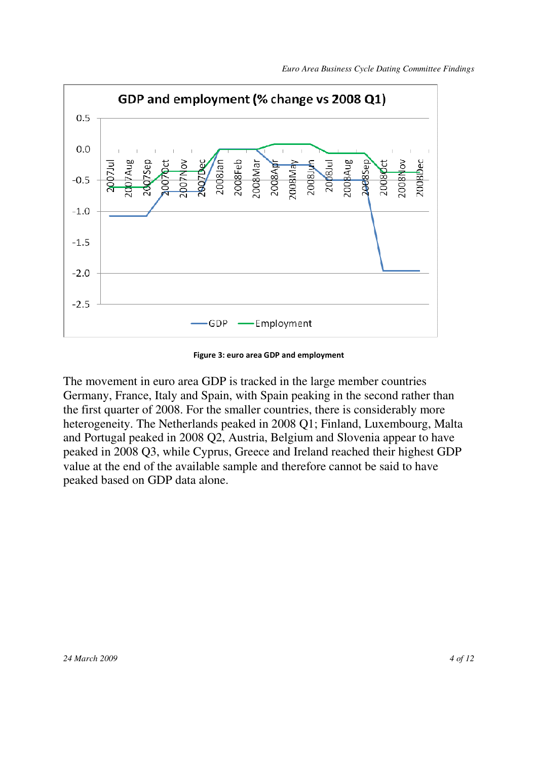

Figure 3: euro area GDP and employment

The movement in euro area GDP is tracked in the large member countries Germany, France, Italy and Spain, with Spain peaking in the second rather than the first quarter of 2008. For the smaller countries, there is considerably more heterogeneity. The Netherlands peaked in 2008 Q1; Finland, Luxembourg, Malta and Portugal peaked in 2008 Q2, Austria, Belgium and Slovenia appear to have peaked in 2008 Q3, while Cyprus, Greece and Ireland reached their highest GDP value at the end of the available sample and therefore cannot be said to have peaked based on GDP data alone.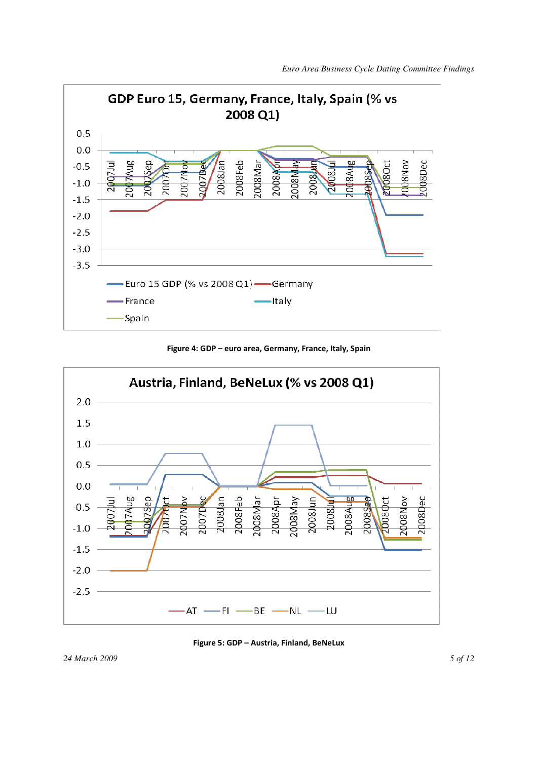

Figure 4: GDP – euro area, Germany, France, Italy, Spain





*24 March 2009 5 of 12*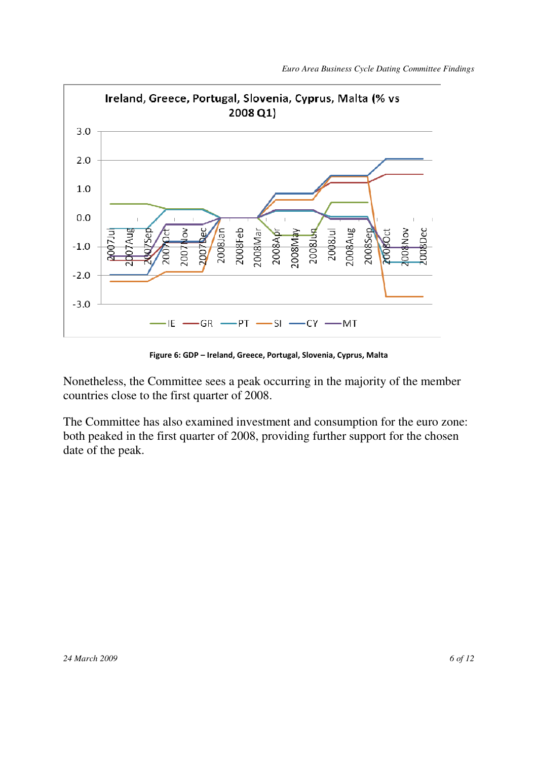

Figure 6: GDP – Ireland, Greece, Portugal, Slovenia, Cyprus, Malta

Nonetheless, the Committee sees a peak occurring in the majority of the member countries close to the first quarter of 2008.

The Committee has also examined investment and consumption for the euro zone: both peaked in the first quarter of 2008, providing further support for the chosen date of the peak.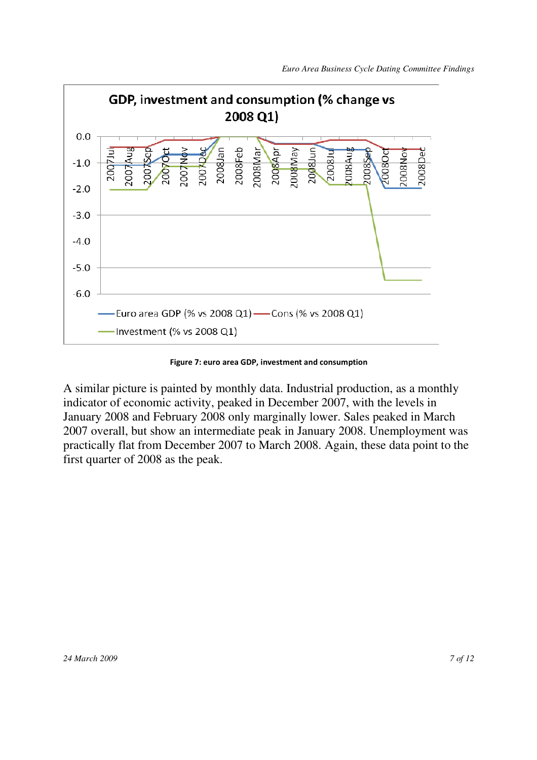

Figure 7: euro area GDP, investment and consumption

A similar picture is painted by monthly data. Industrial production, as a monthly indicator of economic activity, peaked in December 2007, with the levels in January 2008 and February 2008 only marginally lower. Sales peaked in March 2007 overall, but show an intermediate peak in January 2008. Unemployment was practically flat from December 2007 to March 2008. Again, these data point to the first quarter of 2008 as the peak.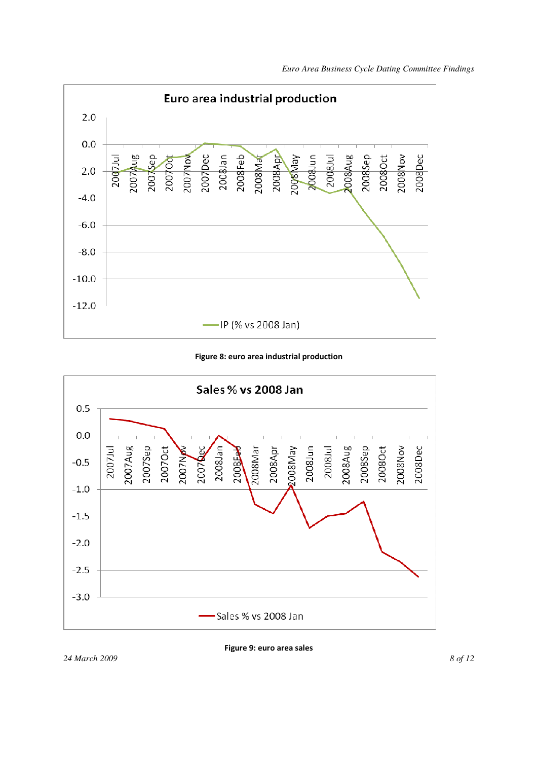

Figure 8: euro area industrial production



*24 March 2009 8 of 12* 

Figure 9: euro area sales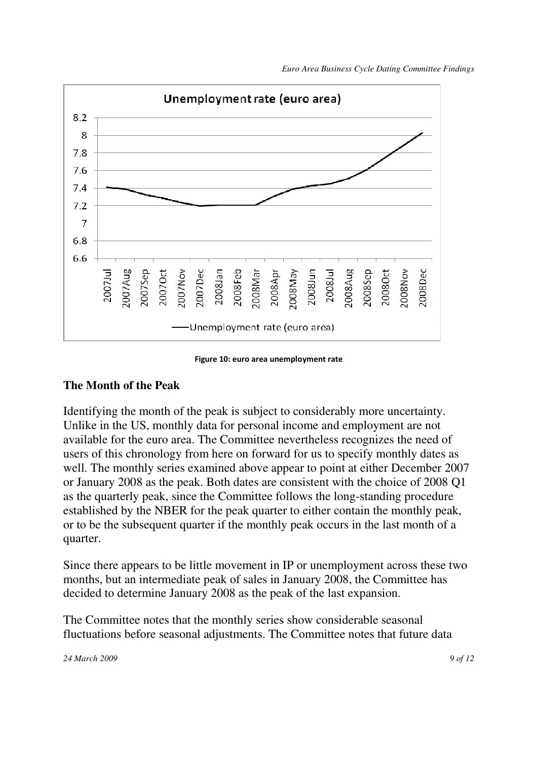

#### Figure 10: euro area unemployment rate

#### **The Month of the Peak**

Identifying the month of the peak is subject to considerably more uncertainty. Unlike in the US, monthly data for personal income and employment are not available for the euro area. The Committee nevertheless recognizes the need of users of this chronology from here on forward for us to specify monthly dates as well. The monthly series examined above appear to point at either December 2007 or January 2008 as the peak. Both dates are consistent with the choice of 2008 Q1 as the quarterly peak, since the Committee follows the long-standing procedure established by the NBER for the peak quarter to either contain the monthly peak, or to be the subsequent quarter if the monthly peak occurs in the last month of a quarter.

Since there appears to be little movement in IP or unemployment across these two months, but an intermediate peak of sales in January 2008, the Committee has decided to determine January 2008 as the peak of the last expansion.

The Committee notes that the monthly series show considerable seasonal fluctuations before seasonal adjustments. The Committee notes that future data

*24 March 2009 9 of 12*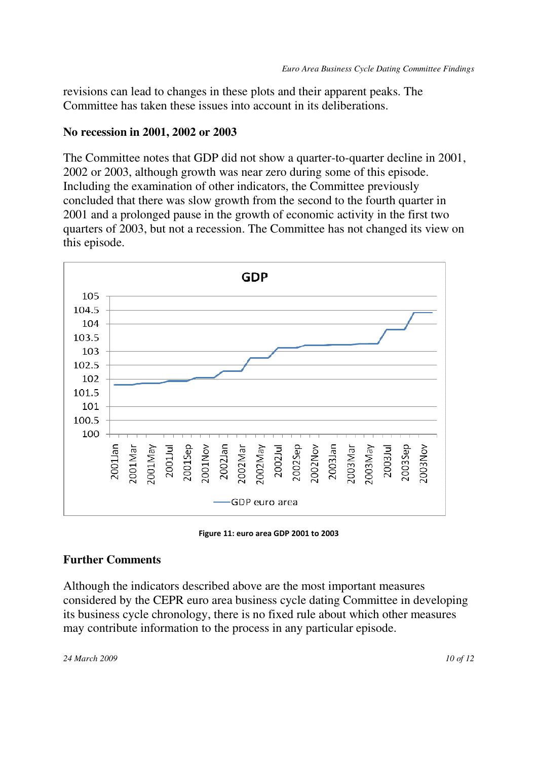revisions can lead to changes in these plots and their apparent peaks. The Committee has taken these issues into account in its deliberations.

#### **No recession in 2001, 2002 or 2003**

The Committee notes that GDP did not show a quarter-to-quarter decline in 2001, 2002 or 2003, although growth was near zero during some of this episode. Including the examination of other indicators, the Committee previously concluded that there was slow growth from the second to the fourth quarter in 2001 and a prolonged pause in the growth of economic activity in the first two quarters of 2003, but not a recession. The Committee has not changed its view on this episode.



Figure 11: euro area GDP 2001 to 2003

#### **Further Comments**

Although the indicators described above are the most important measures considered by the CEPR euro area business cycle dating Committee in developing its business cycle chronology, there is no fixed rule about which other measures may contribute information to the process in any particular episode.

*24 March 2009 10 of 12*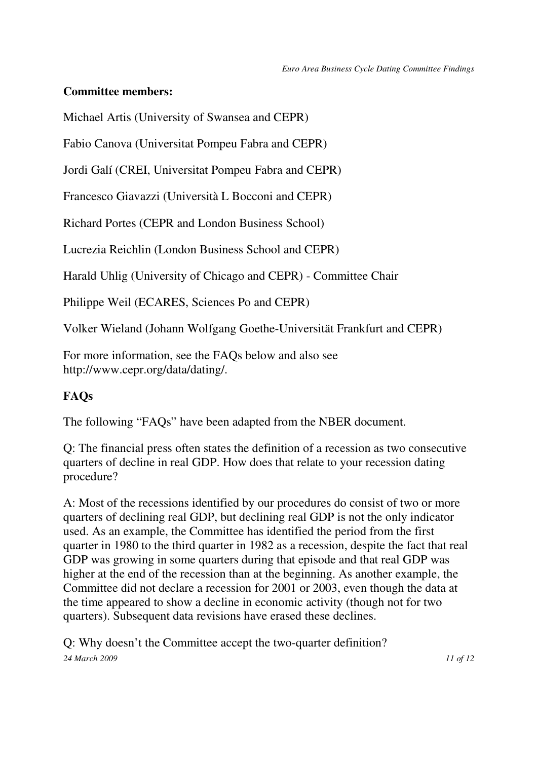#### **Committee members:**

Michael Artis (University of Swansea and CEPR)

Fabio Canova (Universitat Pompeu Fabra and CEPR)

Jordi Galí (CREI, Universitat Pompeu Fabra and CEPR)

Francesco Giavazzi (Università L Bocconi and CEPR)

Richard Portes (CEPR and London Business School)

Lucrezia Reichlin (London Business School and CEPR)

Harald Uhlig (University of Chicago and CEPR) - Committee Chair

Philippe Weil (ECARES, Sciences Po and CEPR)

Volker Wieland (Johann Wolfgang Goethe-Universität Frankfurt and CEPR)

For more information, see the FAQs below and also see http://www.cepr.org/data/dating/.

## **FAQs**

The following "FAQs" have been adapted from the NBER document.

Q: The financial press often states the definition of a recession as two consecutive quarters of decline in real GDP. How does that relate to your recession dating procedure?

A: Most of the recessions identified by our procedures do consist of two or more quarters of declining real GDP, but declining real GDP is not the only indicator used. As an example, the Committee has identified the period from the first quarter in 1980 to the third quarter in 1982 as a recession, despite the fact that real GDP was growing in some quarters during that episode and that real GDP was higher at the end of the recession than at the beginning. As another example, the Committee did not declare a recession for 2001 or 2003, even though the data at the time appeared to show a decline in economic activity (though not for two quarters). Subsequent data revisions have erased these declines.

*24 March 2009 11 of 12*  Q: Why doesn't the Committee accept the two-quarter definition?